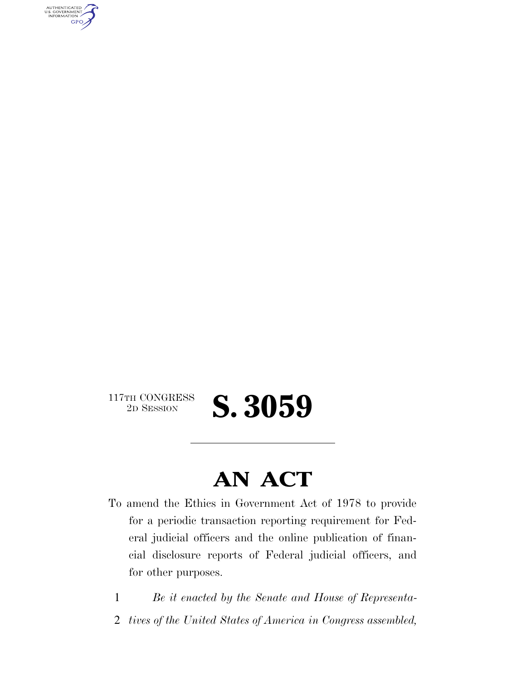AUTHENTICATED<br>U.S. GOVERNMENT<br>INFORMATION **GPO** 

 $\begin{array}{c} \text{117TH CONGRESS} \\ \text{2D Session} \end{array}$ 

2D SESSION **S. 3059** 

## **AN ACT**

- To amend the Ethics in Government Act of 1978 to provide for a periodic transaction reporting requirement for Federal judicial officers and the online publication of financial disclosure reports of Federal judicial officers, and for other purposes.
	- 1 *Be it enacted by the Senate and House of Representa-*
	- 2 *tives of the United States of America in Congress assembled,*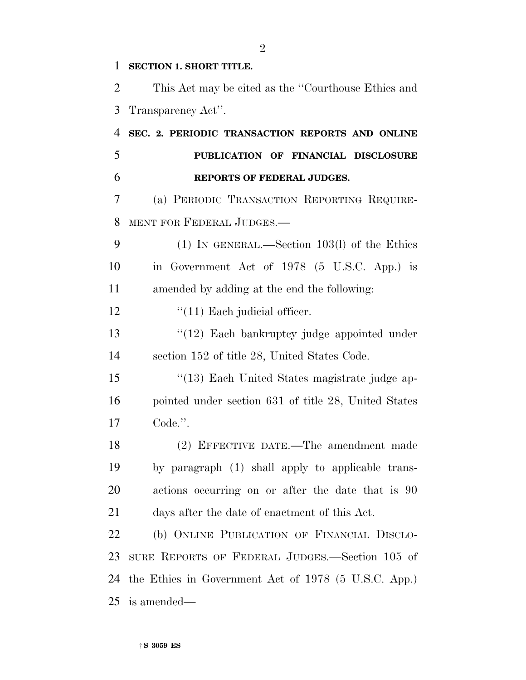## **SECTION 1. SHORT TITLE.**

 This Act may be cited as the ''Courthouse Ethics and Transparency Act''.

 **SEC. 2. PERIODIC TRANSACTION REPORTS AND ONLINE PUBLICATION OF FINANCIAL DISCLOSURE REPORTS OF FEDERAL JUDGES.** 

 (a) PERIODIC TRANSACTION REPORTING REQUIRE-MENT FOR FEDERAL JUDGES.—

 (1) IN GENERAL.—Section 103(l) of the Ethics in Government Act of 1978 (5 U.S.C. App.) is amended by adding at the end the following:

12  $\frac{1}{2}$  (11) Each judicial officer.

13 ''(12) Each bankruptcy judge appointed under section 152 of title 28, United States Code.

 ''(13) Each United States magistrate judge ap- pointed under section 631 of title 28, United States Code.''.

 (2) EFFECTIVE DATE.—The amendment made by paragraph (1) shall apply to applicable trans- actions occurring on or after the date that is 90 days after the date of enactment of this Act.

 (b) ONLINE PUBLICATION OF FINANCIAL DISCLO- SURE REPORTS OF FEDERAL JUDGES.—Section 105 of the Ethics in Government Act of 1978 (5 U.S.C. App.) is amended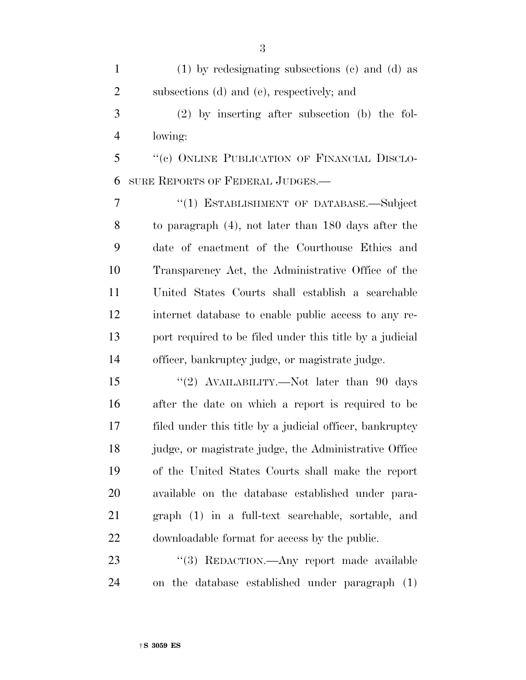(1) by redesignating subsections (c) and (d) as subsections (d) and (e), respectively; and

 (2) by inserting after subsection (b) the fol-lowing:

 ''(c) ONLINE PUBLICATION OF FINANCIAL DISCLO-SURE REPORTS OF FEDERAL JUDGES.—

7 "(1) ESTABLISHMENT OF DATABASE.—Subject to paragraph (4), not later than 180 days after the date of enactment of the Courthouse Ethics and Transparency Act, the Administrative Office of the United States Courts shall establish a searchable internet database to enable public access to any re- port required to be filed under this title by a judicial officer, bankruptcy judge, or magistrate judge.

15 "(2) AVAILABILITY.—Not later than 90 days after the date on which a report is required to be filed under this title by a judicial officer, bankruptcy judge, or magistrate judge, the Administrative Office of the United States Courts shall make the report available on the database established under para- graph (1) in a full-text searchable, sortable, and downloadable format for access by the public.

23 "(3) REDACTION.—Any report made available on the database established under paragraph (1)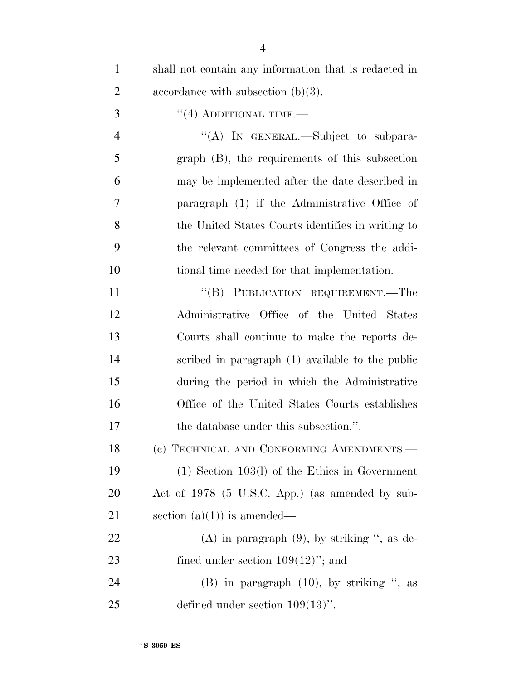| $\mathbf{1}$   | shall not contain any information that is redacted in |
|----------------|-------------------------------------------------------|
| $\overline{2}$ | accordance with subsection $(b)(3)$ .                 |
| 3              | $\cdot$ (4) ADDITIONAL TIME.—                         |
| $\overline{4}$ | "(A) IN GENERAL.—Subject to subpara-                  |
| 5              | $graph$ (B), the requirements of this subsection      |
| 6              | may be implemented after the date described in        |
| 7              | paragraph (1) if the Administrative Office of         |
| 8              | the United States Courts identifies in writing to     |
| 9              | the relevant committees of Congress the addi-         |
| 10             | tional time needed for that implementation.           |
| 11             | "(B) PUBLICATION REQUIREMENT.—The                     |
| 12             | Administrative Office of the United States            |
| 13             | Courts shall continue to make the reports de-         |
| 14             | scribed in paragraph (1) available to the public      |
| 15             | during the period in which the Administrative         |
| 16             | Office of the United States Courts establishes        |
| 17             | the database under this subsection.".                 |
| 18             | (c) TECHNICAL AND CONFORMING AMENDMENTS.              |
| 19             | $(1)$ Section 103(l) of the Ethics in Government      |
| <b>20</b>      | Act of 1978 (5 U.S.C. App.) (as amended by sub-       |
| 21             | section $(a)(1)$ is amended—                          |
| 22             | $(A)$ in paragraph $(9)$ , by striking ", as de-      |
| 23             | fined under section $109(12)$ "; and                  |
| 24             | $(B)$ in paragraph $(10)$ , by striking ", as         |
| 25             | defined under section $109(13)$ ".                    |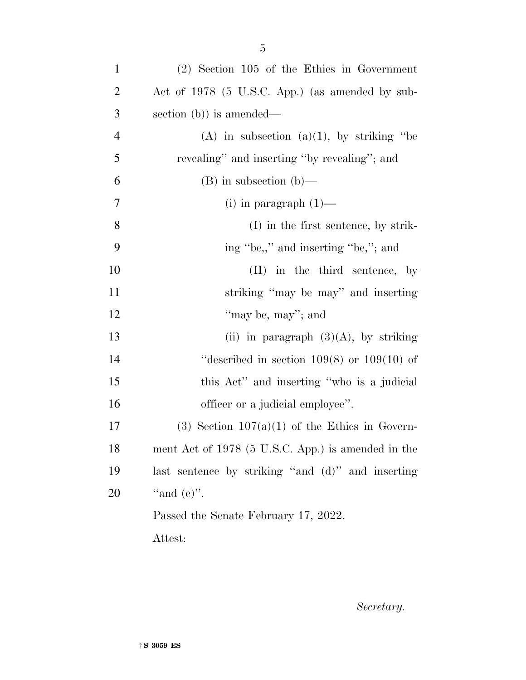| $\mathbf{1}$   | $(2)$ Section 105 of the Ethics in Government       |
|----------------|-----------------------------------------------------|
| $\overline{2}$ | Act of 1978 (5 U.S.C. App.) (as amended by sub-     |
| 3              | section $(b)$ is amended—                           |
| $\overline{4}$ | (A) in subsection (a)(1), by striking "be           |
| 5              | revealing" and inserting "by revealing"; and        |
| 6              | $(B)$ in subsection $(b)$ —                         |
| 7              | (i) in paragraph $(1)$ —                            |
| 8              | $(I)$ in the first sentence, by strik-              |
| 9              | ing "be,," and inserting "be,"; and                 |
| 10             | (II) in the third sentence, by                      |
| 11             | striking "may be may" and inserting                 |
| 12             | "may be, may"; and                                  |
| 13             | (ii) in paragraph $(3)(A)$ , by striking            |
| 14             | "described in section $109(8)$ or $109(10)$ of      |
| 15             | this Act" and inserting "who is a judicial          |
| 16             | officer or a judicial employee".                    |
| 17             | $(3)$ Section 107 $(a)(1)$ of the Ethics in Govern- |
| 18             | ment Act of 1978 (5 U.S.C. App.) is amended in the  |
| 19             | last sentence by striking "and (d)" and inserting   |
| 20             | "and $(e)$ ".                                       |
|                | Passed the Senate February 17, 2022.                |
|                | Attest:                                             |

*Secretary.*